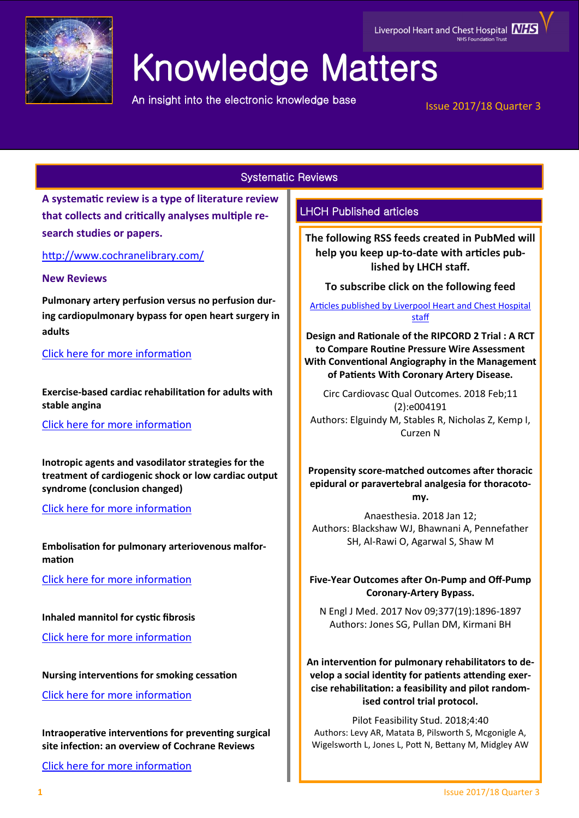

## Liverpool Heart and Chest Hospital **NHS**

# Knowledge Matters

An insight into the electronic knowledge base

Issue 2017/18 Quarter 3

## Systematic Reviews

**A systematic review is a type of literature review that collects and critically analyses multiple research studies or papers.** 

<http://www.cochranelibrary.com/>

## **New Reviews**

**Pulmonary artery perfusion versus no perfusion during cardiopulmonary bypass for open heart surgery in adults**

## [Click here for more information](http://onlinelibrary.wiley.com/doi/10.1002/14651858.CD011098.pub2/full)

**Exercise-based cardiac rehabilitation for adults with stable angina**

[Click here for more information](http://onlinelibrary.wiley.com/doi/10.1002/14651858.CD012786.pub2/full)

**Inotropic agents and vasodilator strategies for the treatment of cardiogenic shock or low cardiac output syndrome (conclusion changed)**

[Click here for more information](http://onlinelibrary.wiley.com/doi/10.1002/14651858.CD009669.pub3/full)

**Embolisation for pulmonary arteriovenous malformation**

[Click here for more information](http://onlinelibrary.wiley.com/doi/10.1002/14651858.CD008017.pub5/full)

**Inhaled mannitol for cystic fibrosis**

[Click here for more information](http://onlinelibrary.wiley.com/doi/10.1002/14651858.CD008649.pub3/full)

**Nursing interventions for smoking cessation**

[Click here for more information](http://onlinelibrary.wiley.com/doi/10.1002/14651858.CD001188.pub5/full)

**Intraoperative interventions for preventing surgical site infection: an overview of Cochrane Reviews**

[Click here for more information](http://onlinelibrary.wiley.com/doi/10.1002/14651858.CD012653.pub2/full)

## LHCH Published articles

**The following RSS feeds created in PubMed will help you keep up-to-date with articles published by LHCH staff.**

**To subscribe click on the following feed** 

[Articles published by Liverpool Heart and Chest Hospital](http://eutils.ncbi.nlm.nih.gov/entrez/eutils/erss.cgi?rss_guid=1jmC0p0kwOiCcrGq4UdlH-eTmaOgJ316E2QW_6DKsMnynMiQ2d)  [staff](http://eutils.ncbi.nlm.nih.gov/entrez/eutils/erss.cgi?rss_guid=1jmC0p0kwOiCcrGq4UdlH-eTmaOgJ316E2QW_6DKsMnynMiQ2d) 

**Design and Rationale of the RIPCORD 2 Trial : A RCT to Compare Routine Pressure Wire Assessment With Conventional Angiography in the Management of Patients With Coronary Artery Disease.**

Circ Cardiovasc Qual Outcomes. 2018 Feb;11 (2):e004191 Authors: Elguindy M, Stables R, Nicholas Z, Kemp I, Curzen N

**Propensity score-matched outcomes after thoracic epidural or paravertebral analgesia for thoracotomy.**

Anaesthesia. 2018 Jan 12; Authors: Blackshaw WJ, Bhawnani A, Pennefather SH, Al-Rawi O, Agarwal S, Shaw M

**Five-Year Outcomes after On-Pump and Off-Pump Coronary-Artery Bypass.**

N Engl J Med. 2017 Nov 09;377(19):1896-1897 Authors: Jones SG, Pullan DM, Kirmani BH

## **An intervention for pulmonary rehabilitators to develop a social identity for patients attending exercise rehabilitation: a feasibility and pilot randomised control trial protocol.**

Pilot Feasibility Stud. 2018;4:40 Authors: Levy AR, Matata B, Pilsworth S, Mcgonigle A, Wigelsworth L, Jones L, Pott N, Bettany M, Midgley AW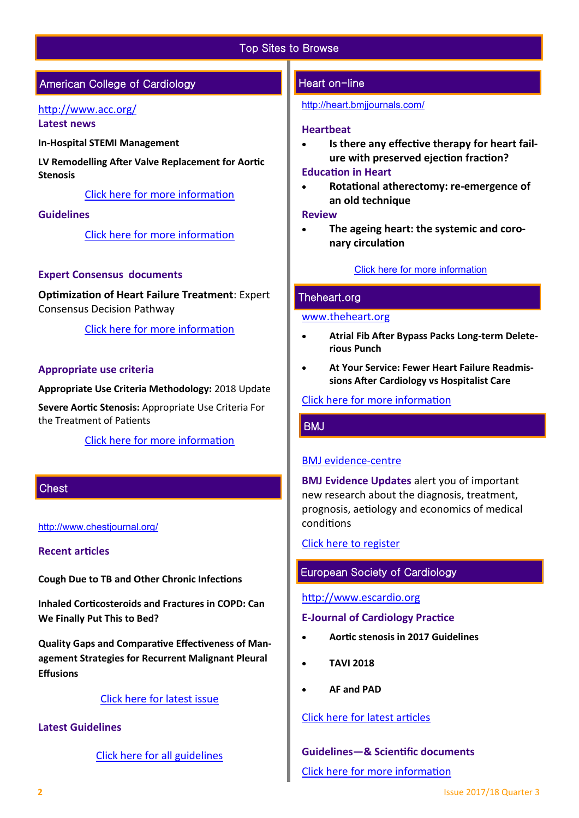## Top Sites to Browse

## American College of Cardiology

#### <http://www.acc.org/>

**Latest news** 

**In-Hospital STEMI Management**

**LV Remodelling After Valve Replacement for Aortic Stenosis**

[Click here for more information](http://www.acc.org/#sort=%40fcommonsortdate86069%20descending) 

## **Guidelines**

[Click here for more information](http://www.acc.org/guidelines#sort=%40foriginalz32xpostedz32xdate86069%20descending&f:@fdocumentz32xtype86069_670363a472df42e3adff1c75ae78b00f=[Guidelines]http://www.acc.org/guidelines) 

## **Expert Consensus documents**

**Optimization of Heart Failure Treatment**: Expert Consensus Decision Pathway

[Click here for more information](http://www.acc.org/guidelines#tab1) 

## **Appropriate use criteria**

**Appropriate Use Criteria Methodology:** 2018 Update

**Severe Aortic Stenosis:** Appropriate Use Criteria For the Treatment of Patients

[Click here for more information](http://www.acc.org/guidelines#tab4) 

## **Chest**

## <http://www.chestjournal.org/>

## **Recent articles**

**Cough Due to TB and Other Chronic Infections**

**Inhaled Corticosteroids and Fractures in COPD: Can We Finally Put This to Bed?**

**Quality Gaps and Comparative Effectiveness of Management Strategies for Recurrent Malignant Pleural Effusions**

## [Click here for latest issue](http://journal.chestnet.org/current)

## **Latest Guidelines**

[Click here for all guidelines](http://journal.chestnet.org/guidelines)

## Heart on-line

<http://heart.bmjjournals.com/>

#### **Heartbeat**

 **Is there any effective therapy for heart failure with preserved ejection fraction?**

#### **Education in Heart**

 **Rotational atherectomy: re-emergence of an old technique**

#### **Review**

 **The ageing heart: the systemic and coronary circulation**

#### [Click here for more information](http://heart.bmj.com/content/current)

## Theheart.org

#### [www.theheart.org](https://www.medscape.com/cardiology?t=1)

- **Atrial Fib After Bypass Packs Long-term Deleterious Punch**
- **At Your Service: Fewer Heart Failure Readmissions After Cardiology vs Hospitalist Care**

## [Click here for more information](http://www.medscape.com/cardiology?t=1)

## **BMJ**

## [BMJ evidence](http://plus.mcmaster.ca/EvidenceUpdates/Default.aspx)-centre

**BMJ Evidence Updates** alert you of important new research about the diagnosis, treatment, prognosis, aetiology and economics of medical conditions

[Click here to register](http://plus.mcmaster.ca/EvidenceUpdates/Registration.aspx)

## European Society of Cardiology

## [http://www.escardio.org](http://www.escardio.org/Pages/index.aspx)

## **E-Journal of Cardiology Practice**

- **Aortic stenosis in 2017 Guidelines**
- **TAVI 2018**
- **AF and PAD**

## [Click here for latest articles](http://www.escardio.org/Journals/E-Journal-of-Cardiology-Practice)

**Guidelines—& Scientific documents**  [Click here for more information](https://www.escardio.org/Guidelines)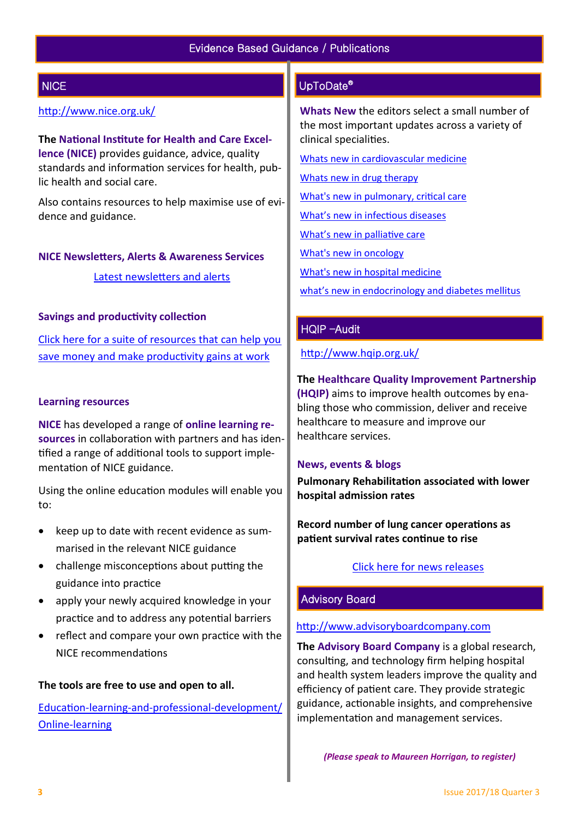## **NICE**

## <http://www.nice.org.uk/>

**The National Institute for Health and Care Excellence (NICE)** provides guidance, advice, quality standards and information services for health, public health and social care.

Also contains resources to help maximise use of evidence and guidance.

#### **NICE Newsletters, Alerts & Awareness Services**

[Latest newsletters and alerts](http://www.nice.org.uk/news/nice-newsletters-and-alerts)

## **Savings and productivity collection**

[Click here for a suite of resources that can help you](https://www.nice.org.uk/about/What-we-do/Our-Programmes/Savings-And-Productivity-Collection)  [save money and make productivity gains at work](https://www.nice.org.uk/about/What-we-do/Our-Programmes/Savings-And-Productivity-Collection)

## **Learning resources**

**NICE** has developed a range of **online learning resources** in collaboration with partners and has identified a range of additional tools to support implementation of NICE guidance.

Using the online education modules will enable you to:

- keep up to date with recent evidence as summarised in the relevant NICE guidance
- challenge misconceptions about putting the guidance into practice
- apply your newly acquired knowledge in your practice and to address any potential barriers
- reflect and compare your own practice with the NICE recommendations

## **The tools are free to use and open to all.**

Education-learning-and-professional-[development/](https://www.nice.org.uk/About/What-we-do/Into-practice/Education-learning-and-professional-development/Online-learning) Online-[learning](https://www.nice.org.uk/About/What-we-do/Into-practice/Education-learning-and-professional-development/Online-learning)

## UpToDate®

**Whats New** the editors select a small number of the most important updates across a variety of clinical specialities.

[Whats new in cardiovascular medicine](http://www.uptodate.com/contents/whats-new-in-cardiovascular-medicine)

[Whats new in drug therapy](http://www.uptodate.com/contents/whats-new-in-drug-therapy)

[What's new in pulmonary, critical care](http://www.uptodate.com/contents/whats-new-in-pulmonary-critical-care-and-sleep-medicine)

[What's new in infectious diseases](http://www.uptodate.com/contents/whats-new-in-infectious-diseases)

[What's new in palliative care](http://www.uptodate.com/contents/whats-new-in-palliative-care)

[What's new in oncology](http://www.uptodate.com/contents/whats-new-in-oncology)

[What's new in hospital medicine](http://www.uptodate.com/contents/whats-new-in-hospital-medicine)

[what's new in endocrinology and diabetes mellitus](http://www.uptodate.com/contents/whats-new-in-endocrinology-and-diabetes-mellitus)

## HQIP –Audit

<http://www.hqip.org.uk/>

## **The Healthcare Quality Improvement Partnership (HQIP)** aims to improve health outcomes by enabling those who commission, deliver and receive healthcare to measure and improve our

## **News, events & blogs**

healthcare services.

 **Pulmonary Rehabilitation associated with lower hospital admission rates**

 **Record number of lung cancer operations as patient survival rates continue to rise**

## [Click here for news releases](http://www.hqip.org.uk/news-releases/)

## Advisory Board

## [http://www.advisoryboardcompany.com](http://www.advisoryboardcompany.com/)

**The Advisory Board Company** is a global research, consulting, and technology firm helping hospital and health system leaders improve the quality and efficiency of patient care. They provide strategic guidance, actionable insights, and comprehensive implementation and management services.

 *(Please speak to Maureen Horrigan, to register)*